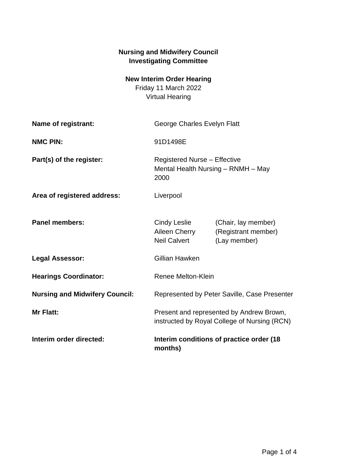## **Nursing and Midwifery Council Investigating Committee**

## **New Interim Order Hearing**

Friday 11 March 2022 Virtual Hearing

| Name of registrant:                   | George Charles Evelyn Flatt                                                              |                                                            |
|---------------------------------------|------------------------------------------------------------------------------------------|------------------------------------------------------------|
| <b>NMC PIN:</b>                       | 91D1498E                                                                                 |                                                            |
| Part(s) of the register:              | <b>Registered Nurse - Effective</b><br>Mental Health Nursing - RNMH - May<br>2000        |                                                            |
| Area of registered address:           | Liverpool                                                                                |                                                            |
| <b>Panel members:</b>                 | Cindy Leslie<br>Aileen Cherry<br><b>Neil Calvert</b>                                     | (Chair, lay member)<br>(Registrant member)<br>(Lay member) |
| <b>Legal Assessor:</b>                | Gillian Hawken                                                                           |                                                            |
| <b>Hearings Coordinator:</b>          | <b>Renee Melton-Klein</b>                                                                |                                                            |
| <b>Nursing and Midwifery Council:</b> | Represented by Peter Saville, Case Presenter                                             |                                                            |
| Mr Flatt:                             | Present and represented by Andrew Brown,<br>instructed by Royal College of Nursing (RCN) |                                                            |
| Interim order directed:               | Interim conditions of practice order (18<br>months)                                      |                                                            |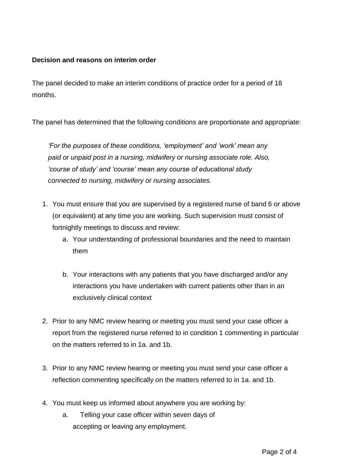## **Decision and reasons on interim order**

The panel decided to make an interim conditions of practice order for a period of 18 months.

The panel has determined that the following conditions are proportionate and appropriate:

*'For the purposes of these conditions, 'employment' and 'work' mean any paid or unpaid post in a nursing, midwifery or nursing associate role. Also, 'course of study' and 'course' mean any course of educational study connected to nursing, midwifery or nursing associates.*

- 1. You must ensure that you are supervised by a registered nurse of band 6 or above (or equivalent) at any time you are working. Such supervision must consist of fortnightly meetings to discuss and review:
	- a. Your understanding of professional boundaries and the need to maintain them
	- b. Your interactions with any patients that you have discharged and/or any interactions you have undertaken with current patients other than in an exclusively clinical context
- 2. Prior to any NMC review hearing or meeting you must send your case officer a report from the registered nurse referred to in condition 1 commenting in particular on the matters referred to in 1a. and 1b.
- 3. Prior to any NMC review hearing or meeting you must send your case officer a reflection commenting specifically on the matters referred to in 1a. and 1b.
- 4. You must keep us informed about anywhere you are working by:
	- a. Telling your case officer within seven days of accepting or leaving any employment.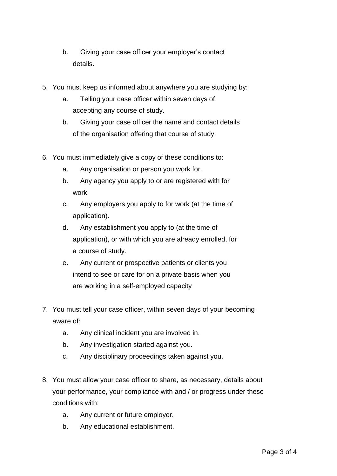- b. Giving your case officer your employer's contact details.
- 5. You must keep us informed about anywhere you are studying by:
	- a. Telling your case officer within seven days of accepting any course of study.
	- b. Giving your case officer the name and contact details of the organisation offering that course of study.
- 6. You must immediately give a copy of these conditions to:
	- a. Any organisation or person you work for.
	- b. Any agency you apply to or are registered with for work.
	- c. Any employers you apply to for work (at the time of application).
	- d. Any establishment you apply to (at the time of application), or with which you are already enrolled, for a course of study.
	- e. Any current or prospective patients or clients you intend to see or care for on a private basis when you are working in a self-employed capacity
- 7. You must tell your case officer, within seven days of your becoming aware of:
	- a. Any clinical incident you are involved in.
	- b. Any investigation started against you.
	- c. Any disciplinary proceedings taken against you.
- 8. You must allow your case officer to share, as necessary, details about your performance, your compliance with and / or progress under these conditions with:
	- a. Any current or future employer.
	- b. Any educational establishment.